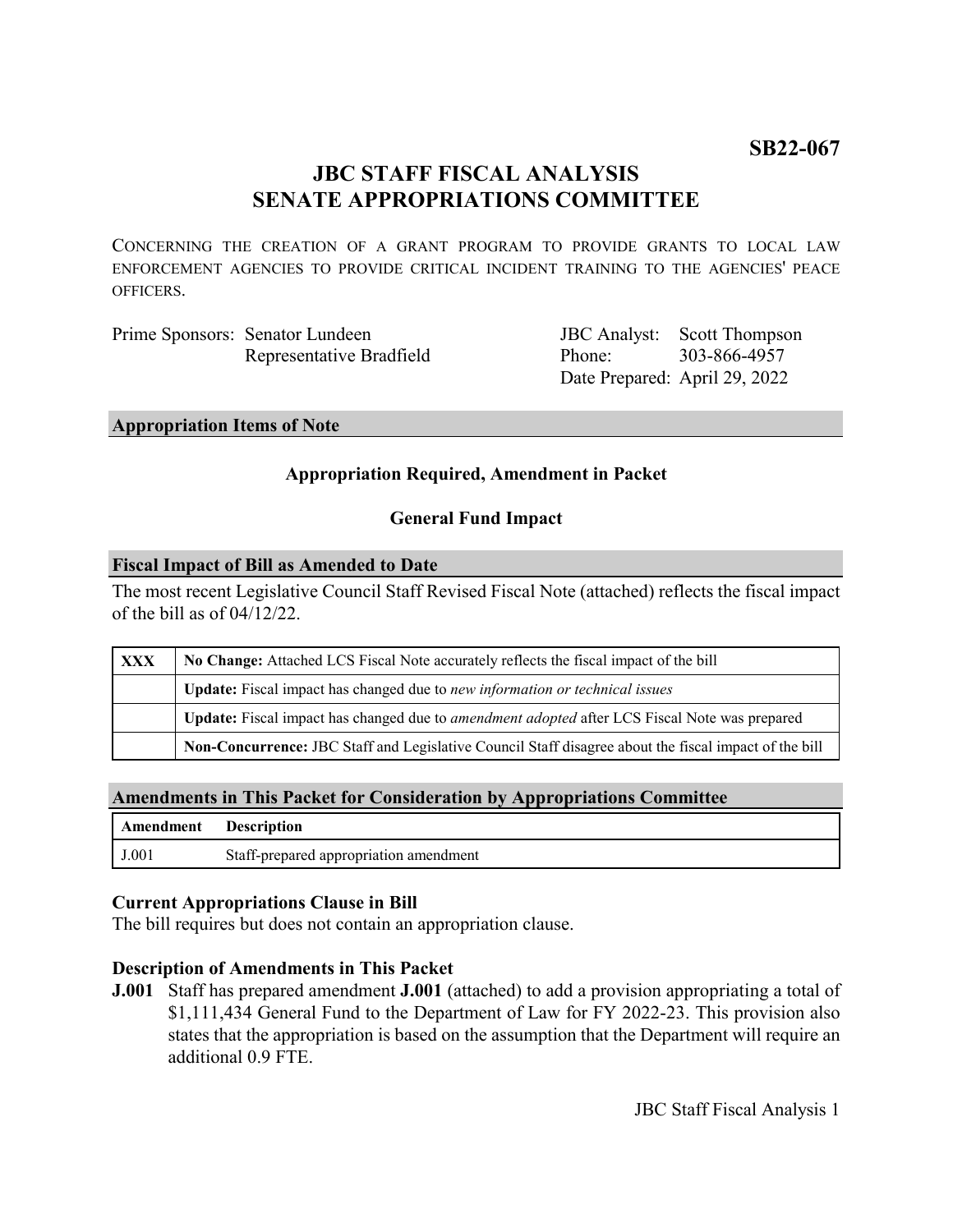# **JBC STAFF FISCAL ANALYSIS SENATE APPROPRIATIONS COMMITTEE**

CONCERNING THE CREATION OF A GRANT PROGRAM TO PROVIDE GRANTS TO LOCAL LAW ENFORCEMENT AGENCIES TO PROVIDE CRITICAL INCIDENT TRAINING TO THE AGENCIES' PEACE OFFICERS.

Prime Sponsors: Senator Lundeen Representative Bradfield

JBC Analyst: Scott Thompson Phone: Date Prepared: April 29, 2022 303-866-4957

#### **Appropriation Items of Note**

# **Appropriation Required, Amendment in Packet**

# **General Fund Impact**

#### **Fiscal Impact of Bill as Amended to Date**

The most recent Legislative Council Staff Revised Fiscal Note (attached) reflects the fiscal impact of the bill as of 04/12/22.

| XXX | No Change: Attached LCS Fiscal Note accurately reflects the fiscal impact of the bill                       |
|-----|-------------------------------------------------------------------------------------------------------------|
|     | <b>Update:</b> Fiscal impact has changed due to new information or technical issues                         |
|     | <b>Update:</b> Fiscal impact has changed due to <i>amendment adopted</i> after LCS Fiscal Note was prepared |
|     | Non-Concurrence: JBC Staff and Legislative Council Staff disagree about the fiscal impact of the bill       |

### **Amendments in This Packet for Consideration by Appropriations Committee**

| Amendment Description |                                        |
|-----------------------|----------------------------------------|
| J.001                 | Staff-prepared appropriation amendment |

### **Current Appropriations Clause in Bill**

The bill requires but does not contain an appropriation clause.

### **Description of Amendments in This Packet**

**J.001** Staff has prepared amendment **J.001** (attached) to add a provision appropriating a total of \$1,111,434 General Fund to the Department of Law for FY 2022-23. This provision also states that the appropriation is based on the assumption that the Department will require an additional 0.9 FTE.